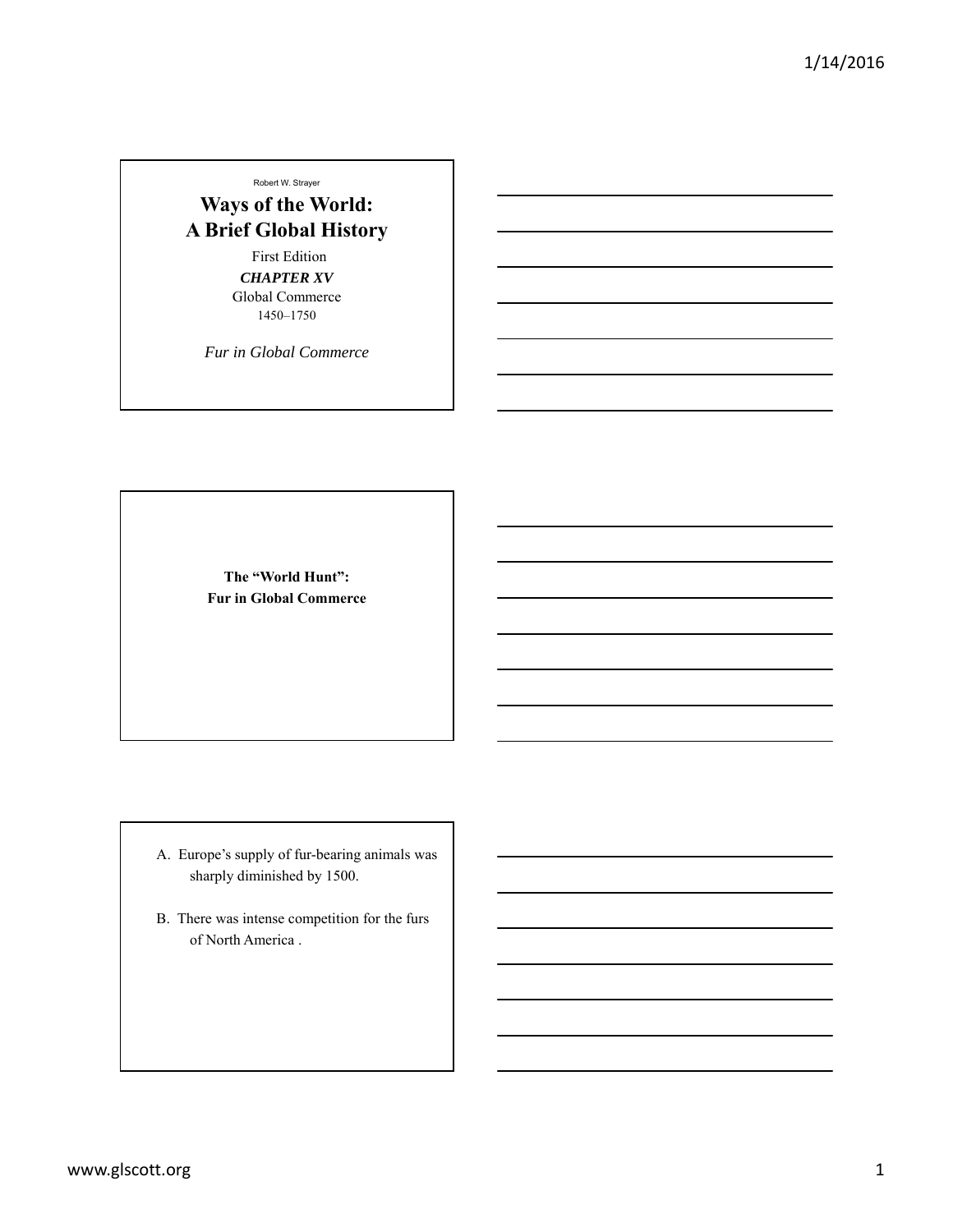Robert W. Strayer

## **Ways of the World: A Brief Global History**

First Edition *CHAPTER XV* Global Commerce 1450–1750

*Fur in Global Commerce*

**The "World Hunt": Fur in Global Commerce**

- A. Europe's supply of fur-bearing animals was sharply diminished by 1500.
- B. There was intense competition for the furs of North America .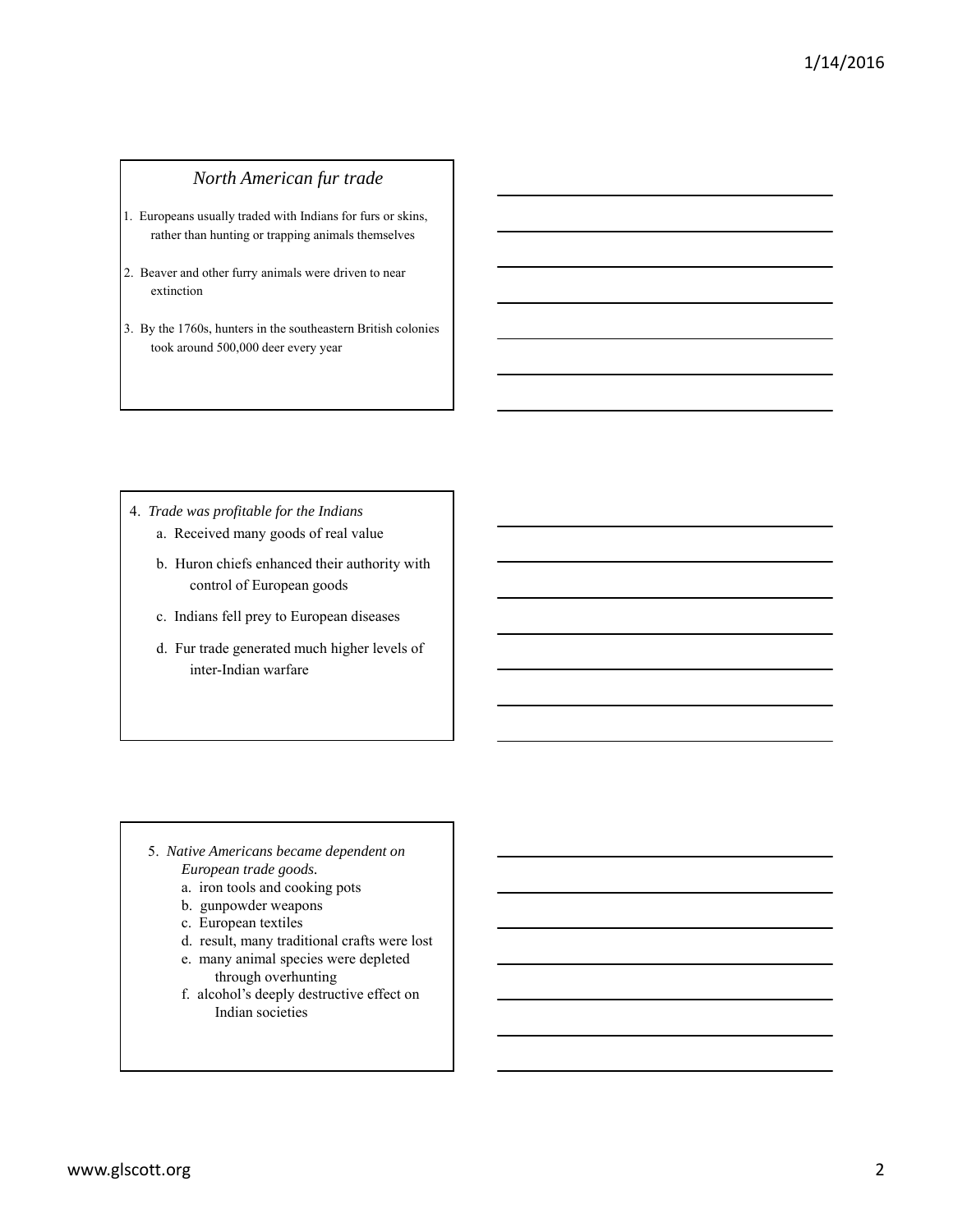## *North American fur trade*

- 1. Europeans usually traded with Indians for furs or skins, rather than hunting or trapping animals themselves
- 2. Beaver and other furry animals were driven to near extinction
- 3. By the 1760s, hunters in the southeastern British colonies took around 500,000 deer every year

- 4. *Trade was profitable for the Indians* a. Received many goods of real value
	- b. Huron chiefs enhanced their authority with control of European goods
	- c. Indians fell prey to European diseases
	- d. Fur trade generated much higher levels of inter-Indian warfare

- 5. *Native Americans became dependent on European trade goods.*
	- a. iron tools and cooking pots
	- b. gunpowder weapons
	- c. European textiles
	- d. result, many traditional crafts were lost
	- e. many animal species were depleted through overhunting
	- f. alcohol's deeply destructive effect on Indian societies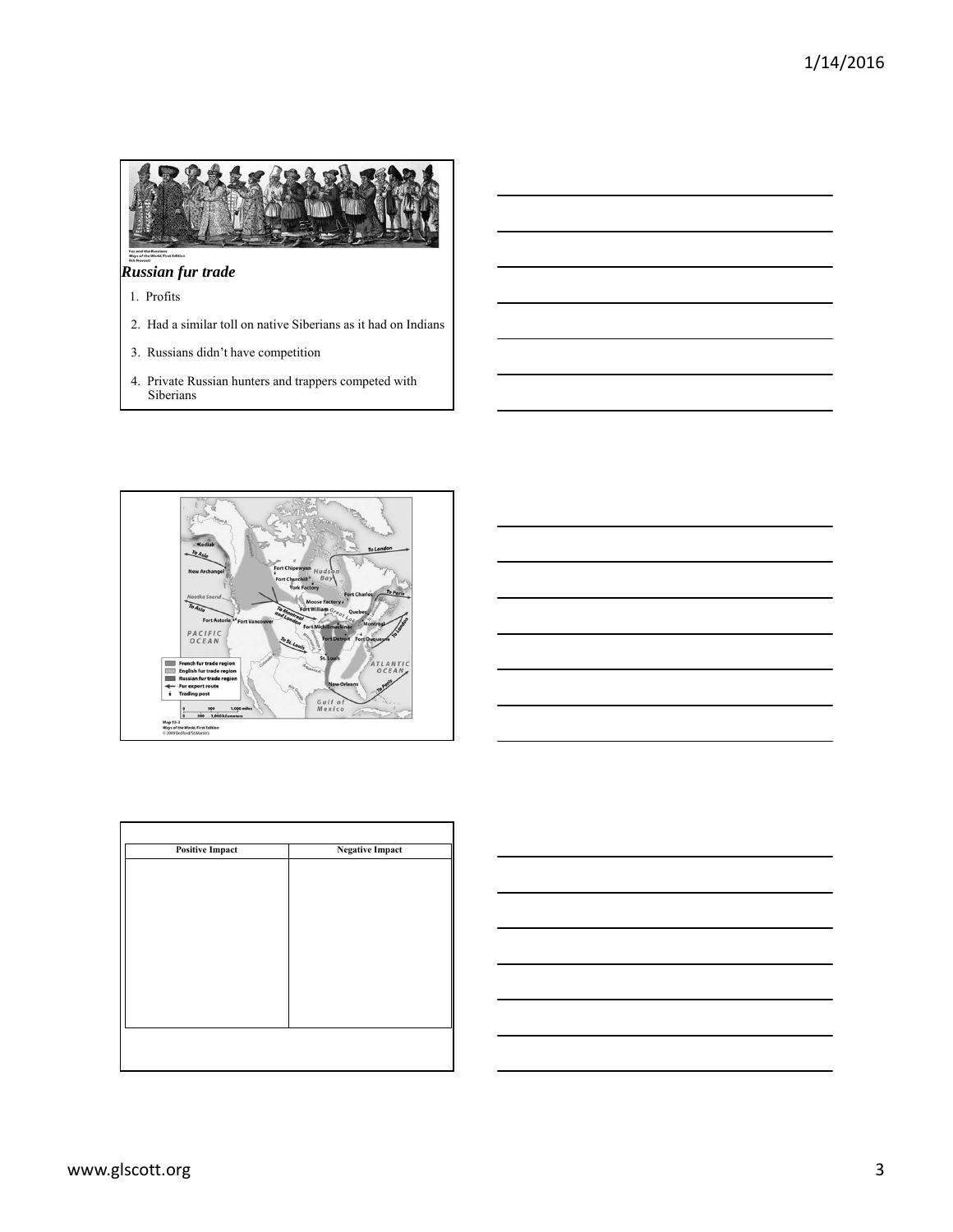

## *Russian fur trade*

- 1. Profits
- 2. Had a similar toll on native Siberians as it had on Indians
- 3. Russians didn't have competition
- 4. Private Russian hunters and trappers competed with Siberians





| <b>Positive Impact</b> | <b>Negative Impact</b> |  |  |
|------------------------|------------------------|--|--|
|                        |                        |  |  |
|                        |                        |  |  |
|                        |                        |  |  |
|                        |                        |  |  |
|                        |                        |  |  |
|                        |                        |  |  |
|                        |                        |  |  |
|                        |                        |  |  |
|                        |                        |  |  |
|                        |                        |  |  |
|                        |                        |  |  |
|                        |                        |  |  |